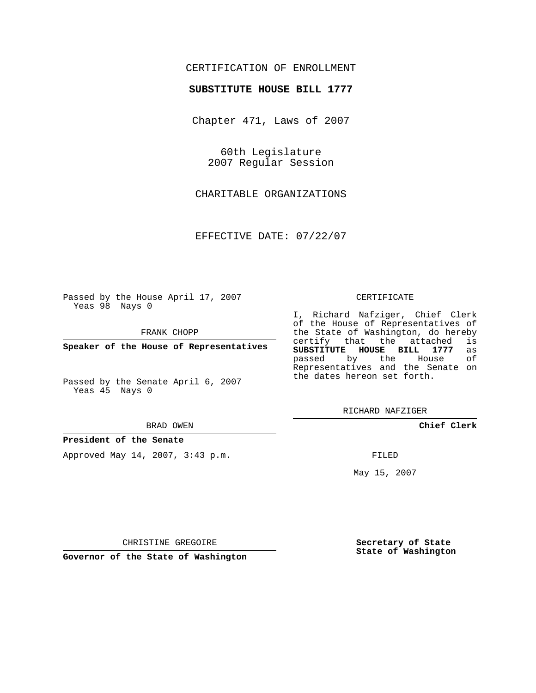## CERTIFICATION OF ENROLLMENT

### **SUBSTITUTE HOUSE BILL 1777**

Chapter 471, Laws of 2007

60th Legislature 2007 Regular Session

CHARITABLE ORGANIZATIONS

EFFECTIVE DATE: 07/22/07

Passed by the House April 17, 2007 Yeas 98 Nays 0

FRANK CHOPP

**Speaker of the House of Representatives**

Passed by the Senate April 6, 2007 Yeas 45 Nays 0

#### BRAD OWEN

**President of the Senate**

Approved May 14, 2007, 3:43 p.m.

#### CERTIFICATE

I, Richard Nafziger, Chief Clerk of the House of Representatives of the State of Washington, do hereby<br>certify that the attached is certify that the attached **SUBSTITUTE HOUSE BILL 1777** as passed by the House Representatives and the Senate on the dates hereon set forth.

RICHARD NAFZIGER

**Chief Clerk**

FILED

May 15, 2007

**Secretary of State State of Washington**

CHRISTINE GREGOIRE

**Governor of the State of Washington**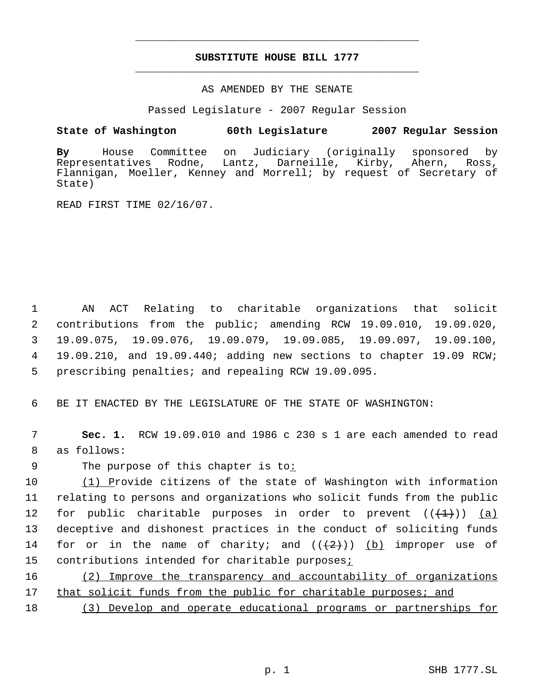# **SUBSTITUTE HOUSE BILL 1777** \_\_\_\_\_\_\_\_\_\_\_\_\_\_\_\_\_\_\_\_\_\_\_\_\_\_\_\_\_\_\_\_\_\_\_\_\_\_\_\_\_\_\_\_\_

\_\_\_\_\_\_\_\_\_\_\_\_\_\_\_\_\_\_\_\_\_\_\_\_\_\_\_\_\_\_\_\_\_\_\_\_\_\_\_\_\_\_\_\_\_

### AS AMENDED BY THE SENATE

Passed Legislature - 2007 Regular Session

### **State of Washington 60th Legislature 2007 Regular Session**

**By** House Committee on Judiciary (originally sponsored by Rodne, Lantz, Darneille, Kirby, Ahern, Ross, Flannigan, Moeller, Kenney and Morrell; by request of Secretary of State)

READ FIRST TIME 02/16/07.

 AN ACT Relating to charitable organizations that solicit contributions from the public; amending RCW 19.09.010, 19.09.020, 19.09.075, 19.09.076, 19.09.079, 19.09.085, 19.09.097, 19.09.100, 4 19.09.210, and 19.09.440; adding new sections to chapter 19.09 RCW; prescribing penalties; and repealing RCW 19.09.095.

6 BE IT ENACTED BY THE LEGISLATURE OF THE STATE OF WASHINGTON:

 7 **Sec. 1.** RCW 19.09.010 and 1986 c 230 s 1 are each amended to read 8 as follows:

9 The purpose of this chapter is to:

 (1) Provide citizens of the state of Washington with information relating to persons and organizations who solicit funds from the public 12 for public charitable purposes in order to prevent  $((+1))$  (a) deceptive and dishonest practices in the conduct of soliciting funds 14 for or in the name of charity; and  $((+2))$  (b) improper use of contributions intended for charitable purposes;

16 (2) Improve the transparency and accountability of organizations 17 that solicit funds from the public for charitable purposes; and

18 (3) Develop and operate educational programs or partnerships for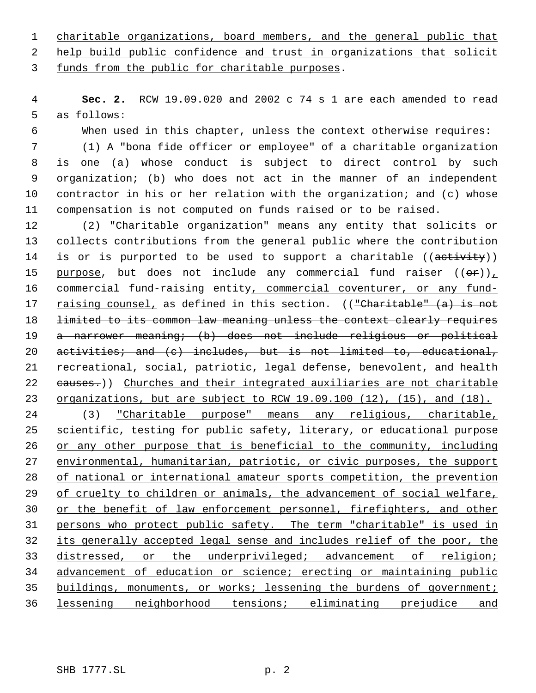charitable organizations, board members, and the general public that

help build public confidence and trust in organizations that solicit

funds from the public for charitable purposes.

 **Sec. 2.** RCW 19.09.020 and 2002 c 74 s 1 are each amended to read as follows:

When used in this chapter, unless the context otherwise requires:

 (1) A "bona fide officer or employee" of a charitable organization is one (a) whose conduct is subject to direct control by such organization; (b) who does not act in the manner of an independent contractor in his or her relation with the organization; and (c) whose compensation is not computed on funds raised or to be raised.

 (2) "Charitable organization" means any entity that solicits or collects contributions from the general public where the contribution 14 is or is purported to be used to support a charitable ((activity)) 15 purpose, but does not include any commercial fund raiser  $((\theta \cdot r))_T$ 16 commercial fund-raising entity, commercial coventurer, or any fund-17 raising counsel, as defined in this section. (("Charitable" (a) is not 18 limited to its common law meaning unless the context clearly requires a narrower meaning; (b) does not include religious or political 20 activities; and (c) includes, but is not limited to, educational, recreational, social, patriotic, legal defense, benevolent, and health 22 causes.)) Churches and their integrated auxiliaries are not charitable 23 organizations, but are subject to RCW 19.09.100 (12), (15), and (18). (3) "Charitable purpose" means any religious, charitable, 25 scientific, testing for public safety, literary, or educational purpose or any other purpose that is beneficial to the community, including 27 environmental, humanitarian, patriotic, or civic purposes, the support of national or international amateur sports competition, the prevention

29 of cruelty to children or animals, the advancement of social welfare, 30 or the benefit of law enforcement personnel, firefighters, and other persons who protect public safety. The term "charitable" is used in its generally accepted legal sense and includes relief of the poor, the 33 distressed, or the underprivileged; advancement of religion; advancement of education or science; erecting or maintaining public buildings, monuments, or works; lessening the burdens of government; lessening neighborhood tensions; eliminating prejudice and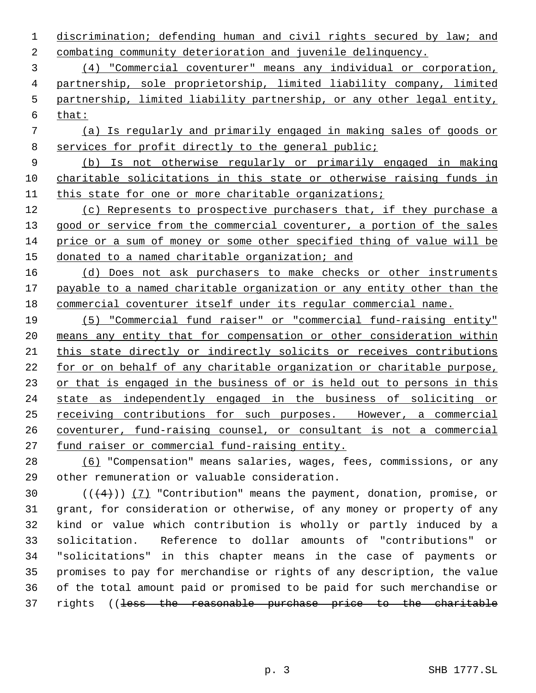discrimination; defending human and civil rights secured by law; and combating community deterioration and juvenile delinquency.

 (4) "Commercial coventurer" means any individual or corporation, partnership, sole proprietorship, limited liability company, limited partnership, limited liability partnership, or any other legal entity, that:

 (a) Is regularly and primarily engaged in making sales of goods or services for profit directly to the general public;

 (b) Is not otherwise regularly or primarily engaged in making charitable solicitations in this state or otherwise raising funds in this state for one or more charitable organizations;

 (c) Represents to prospective purchasers that, if they purchase a 13 good or service from the commercial coventurer, a portion of the sales price or a sum of money or some other specified thing of value will be donated to a named charitable organization; and

 (d) Does not ask purchasers to make checks or other instruments 17 payable to a named charitable organization or any entity other than the commercial coventurer itself under its regular commercial name.

 (5) "Commercial fund raiser" or "commercial fund-raising entity" means any entity that for compensation or other consideration within this state directly or indirectly solicits or receives contributions 22 for or on behalf of any charitable organization or charitable purpose, 23 or that is engaged in the business of or is held out to persons in this state as independently engaged in the business of soliciting or receiving contributions for such purposes. However, a commercial coventurer, fund-raising counsel, or consultant is not a commercial fund raiser or commercial fund-raising entity.

 (6) "Compensation" means salaries, wages, fees, commissions, or any other remuneration or valuable consideration.

 $((4+))$  (7) "Contribution" means the payment, donation, promise, or grant, for consideration or otherwise, of any money or property of any kind or value which contribution is wholly or partly induced by a solicitation. Reference to dollar amounts of "contributions" or "solicitations" in this chapter means in the case of payments or promises to pay for merchandise or rights of any description, the value of the total amount paid or promised to be paid for such merchandise or rights ((less the reasonable purchase price to the charitable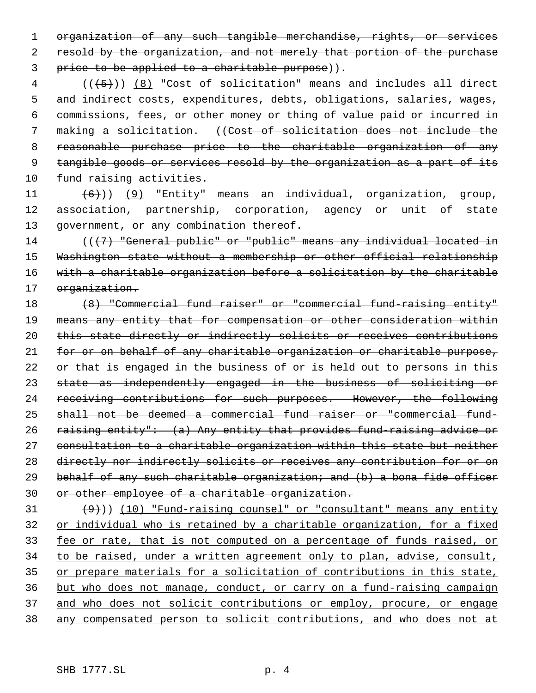1 organization of any such tangible merchandise, rights, or services 2 resold by the organization, and not merely that portion of the purchase 3 price to be applied to a charitable purpose)).

 $4$  ( $(\overline{5})$ )  $(8)$  "Cost of solicitation" means and includes all direct 5 and indirect costs, expenditures, debts, obligations, salaries, wages, 6 commissions, fees, or other money or thing of value paid or incurred in 7 making a solicitation. ((Cost of solicitation does not include the 8 reasonable purchase price to the charitable organization of any 9 tangible goods or services resold by the organization as a part of its 10 fund raising activities.

11  $(6)$ )) (9) "Entity" means an individual, organization, group, 12 association, partnership, corporation, agency or unit of state 13 government, or any combination thereof.

14 (((7) "General public" or "public" means any individual located in 15 Washington state without a membership or other official relationship 16 with a charitable organization before a solicitation by the charitable 17 organization.

 (8) "Commercial fund raiser" or "commercial fund-raising entity" means any entity that for compensation or other consideration within this state directly or indirectly solicits or receives contributions for or on behalf of any charitable organization or charitable purpose, 22 or that is engaged in the business of or is held out to persons in this state as independently engaged in the business of soliciting or receiving contributions for such purposes. However, the following shall not be deemed a commercial fund raiser or "commercial fund-26 raising entity": (a) Any entity that provides fund-raising advice or consultation to a charitable organization within this state but neither 28 directly nor indirectly solicits or receives any contribution for or on 29 behalf of any such charitable organization; and (b) a bona fide officer or other employee of a charitable organization.

 $(9)$ )) (10) "Fund-raising counsel" or "consultant" means any entity 32 or individual who is retained by a charitable organization, for a fixed 33 fee or rate, that is not computed on a percentage of funds raised, or 34 to be raised, under a written agreement only to plan, advise, consult, 35 or prepare materials for a solicitation of contributions in this state, 36 but who does not manage, conduct, or carry on a fund-raising campaign 37 and who does not solicit contributions or employ, procure, or engage 38 any compensated person to solicit contributions, and who does not at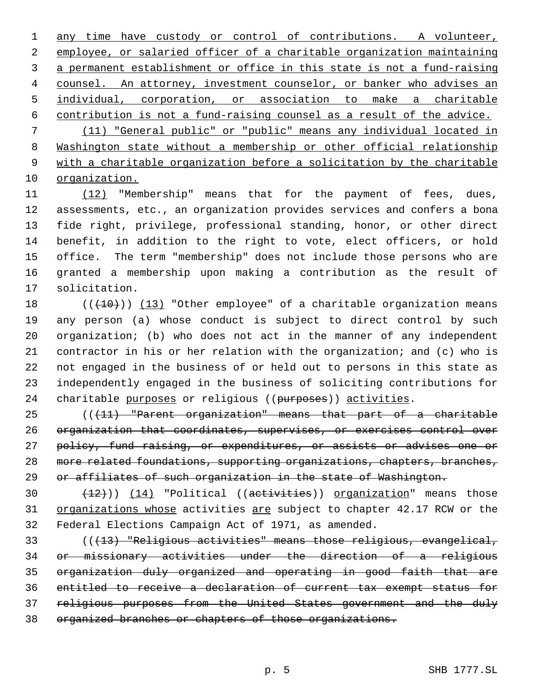any time have custody or control of contributions. A volunteer, employee, or salaried officer of a charitable organization maintaining a permanent establishment or office in this state is not a fund-raising 4 counsel. An attorney, investment counselor, or banker who advises an individual, corporation, or association to make a charitable contribution is not a fund-raising counsel as a result of the advice. (11) "General public" or "public" means any individual located in Washington state without a membership or other official relationship with a charitable organization before a solicitation by the charitable organization.

 (12) "Membership" means that for the payment of fees, dues, assessments, etc., an organization provides services and confers a bona fide right, privilege, professional standing, honor, or other direct benefit, in addition to the right to vote, elect officers, or hold office. The term "membership" does not include those persons who are granted a membership upon making a contribution as the result of solicitation.

 $((+10))$   $(13)$  "Other employee" of a charitable organization means any person (a) whose conduct is subject to direct control by such organization; (b) who does not act in the manner of any independent contractor in his or her relation with the organization; and (c) who is not engaged in the business of or held out to persons in this state as independently engaged in the business of soliciting contributions for 24 charitable purposes or religious ((purposes)) activities.

 (((11) "Parent organization" means that part of a charitable organization that coordinates, supervises, or exercises control over 27 policy, fund raising, or expenditures, or assists or advises one or 28 more related foundations, supporting organizations, chapters, branches, 29 or affiliates of such organization in the state of Washington.

 $(14)$  "Political (( $\overline{a}$ etivities)) organization" means those 31 organizations whose activities are subject to chapter 42.17 RCW or the Federal Elections Campaign Act of 1971, as amended.

 (((13) "Religious activities" means those religious, evangelical, or missionary activities under the direction of a religious organization duly organized and operating in good faith that are entitled to receive a declaration of current tax exempt status for religious purposes from the United States government and the duly organized branches or chapters of those organizations.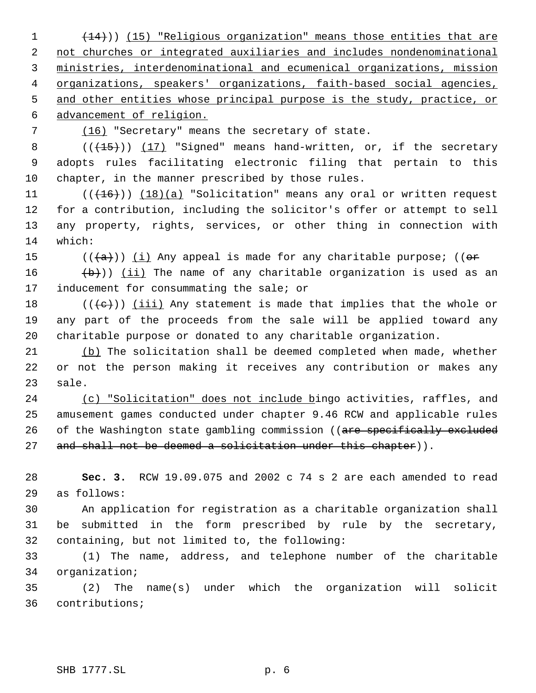(14))) (15) "Religious organization" means those entities that are not churches or integrated auxiliaries and includes nondenominational ministries, interdenominational and ecumenical organizations, mission 4 organizations, speakers' organizations, faith-based social agencies, and other entities whose principal purpose is the study, practice, or advancement of religion.

7 (16) "Secretary" means the secretary of state.

8  $((+15))$   $(17)$  "Signed" means hand-written, or, if the secretary adopts rules facilitating electronic filing that pertain to this chapter, in the manner prescribed by those rules.

 $((+16))$   $(18)(a)$  "Solicitation" means any oral or written request for a contribution, including the solicitor's offer or attempt to sell any property, rights, services, or other thing in connection with which:

15 ( $(\overline{a})$ ) (i) Any appeal is made for any charitable purpose; (( $\overline{or}$ 

 $(\overline{b})$ ) (ii) The name of any charitable organization is used as an 17 inducement for consummating the sale; or

18  $((\{e\})\)$  (iii) Any statement is made that implies that the whole or any part of the proceeds from the sale will be applied toward any charitable purpose or donated to any charitable organization.

21 (b) The solicitation shall be deemed completed when made, whether or not the person making it receives any contribution or makes any sale.

 (c) "Solicitation" does not include bingo activities, raffles, and amusement games conducted under chapter 9.46 RCW and applicable rules 26 of the Washington state gambling commission ((are specifically excluded 27 and shall not be deemed a solicitation under this chapter)).

 **Sec. 3.** RCW 19.09.075 and 2002 c 74 s 2 are each amended to read as follows:

 An application for registration as a charitable organization shall be submitted in the form prescribed by rule by the secretary, containing, but not limited to, the following:

 (1) The name, address, and telephone number of the charitable organization;

 (2) The name(s) under which the organization will solicit contributions;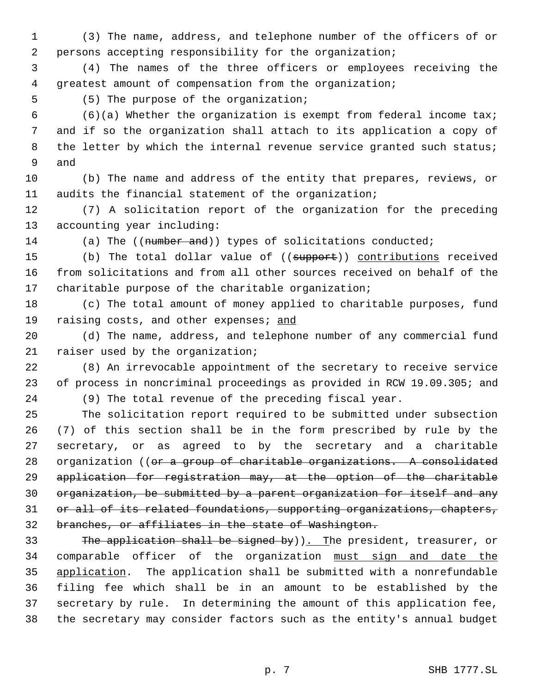(3) The name, address, and telephone number of the officers of or persons accepting responsibility for the organization;

 (4) The names of the three officers or employees receiving the greatest amount of compensation from the organization;

(5) The purpose of the organization;

 (6)(a) Whether the organization is exempt from federal income tax; and if so the organization shall attach to its application a copy of 8 the letter by which the internal revenue service granted such status; and

 (b) The name and address of the entity that prepares, reviews, or audits the financial statement of the organization;

 (7) A solicitation report of the organization for the preceding accounting year including:

14 (a) The ((number and)) types of solicitations conducted;

15 (b) The total dollar value of ((support)) contributions received from solicitations and from all other sources received on behalf of the charitable purpose of the charitable organization;

 (c) The total amount of money applied to charitable purposes, fund 19 raising costs, and other expenses; and

 (d) The name, address, and telephone number of any commercial fund raiser used by the organization;

 (8) An irrevocable appointment of the secretary to receive service of process in noncriminal proceedings as provided in RCW 19.09.305; and

(9) The total revenue of the preceding fiscal year.

 The solicitation report required to be submitted under subsection (7) of this section shall be in the form prescribed by rule by the secretary, or as agreed to by the secretary and a charitable 28 organization ((or a group of charitable organizations. A consolidated application for registration may, at the option of the charitable organization, be submitted by a parent organization for itself and any 31 or all of its related foundations, supporting organizations, chapters, branches, or affiliates in the state of Washington.

33 The application shall be signed by)). The president, treasurer, or comparable officer of the organization must sign and date the application. The application shall be submitted with a nonrefundable filing fee which shall be in an amount to be established by the secretary by rule. In determining the amount of this application fee, the secretary may consider factors such as the entity's annual budget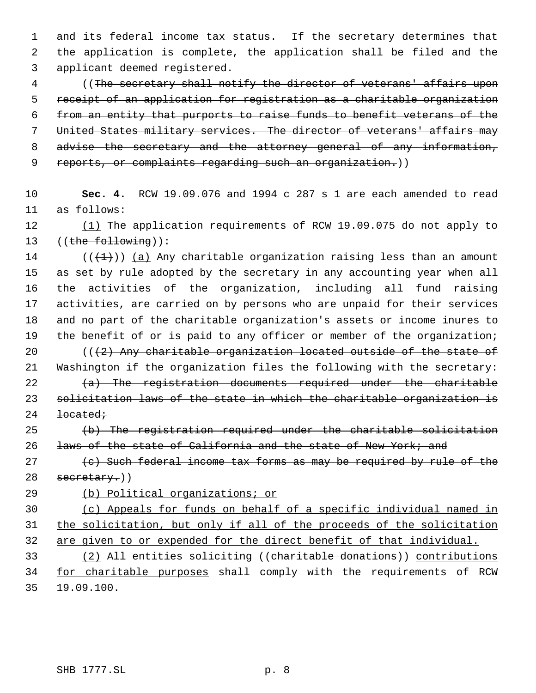and its federal income tax status. If the secretary determines that the application is complete, the application shall be filed and the applicant deemed registered.

 ((The secretary shall notify the director of veterans' affairs upon receipt of an application for registration as a charitable organization from an entity that purports to raise funds to benefit veterans of the United States military services. The director of veterans' affairs may 8 advise the secretary and the attorney general of any information, 9 reports, or complaints regarding such an organization.))

 **Sec. 4.** RCW 19.09.076 and 1994 c 287 s 1 are each amended to read as follows:

 (1) The application requirements of RCW 19.09.075 do not apply to 13 ((the following)):

14 ( $(\overline{+1})$ ) (a) Any charitable organization raising less than an amount as set by rule adopted by the secretary in any accounting year when all the activities of the organization, including all fund raising activities, are carried on by persons who are unpaid for their services and no part of the charitable organization's assets or income inures to 19 the benefit of or is paid to any officer or member of the organization;

 $((2)$  Any charitable organization located outside of the state of 21 Washington if the organization files the following with the secretary:

 $(a)$  The registration documents required under the charitable solicitation laws of the state in which the charitable organization is <del>located;</del>

 (b) The registration required under the charitable solicitation 26 laws of the state of California and the state of New York; and

 (c) Such federal income tax forms as may be required by rule of the secretary.)

(b) Political organizations; or

 (c) Appeals for funds on behalf of a specific individual named in the solicitation, but only if all of the proceeds of the solicitation are given to or expended for the direct benefit of that individual.

 (2) All entities soliciting ((charitable donations)) contributions 34 for charitable purposes shall comply with the requirements of RCW 19.09.100.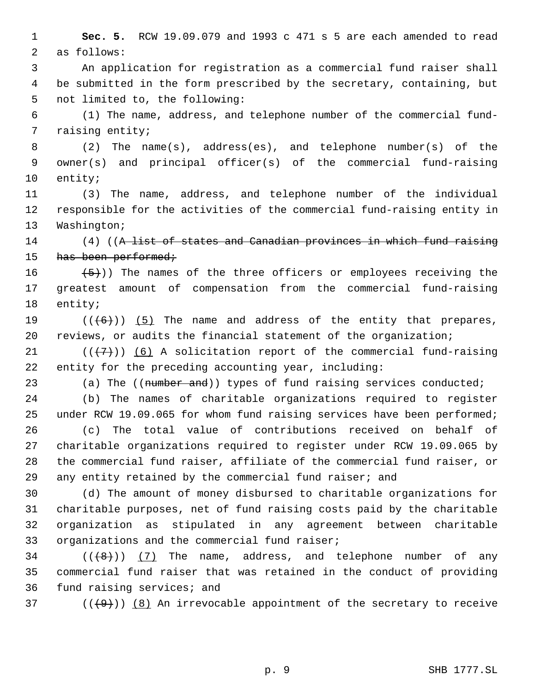**Sec. 5.** RCW 19.09.079 and 1993 c 471 s 5 are each amended to read as follows:

 An application for registration as a commercial fund raiser shall be submitted in the form prescribed by the secretary, containing, but not limited to, the following:

 (1) The name, address, and telephone number of the commercial fund- raising entity;

 (2) The name(s), address(es), and telephone number(s) of the owner(s) and principal officer(s) of the commercial fund-raising entity;

 (3) The name, address, and telephone number of the individual responsible for the activities of the commercial fund-raising entity in Washington;

14 (4) ((A list of states and Canadian provinces in which fund raising 15 has been performed;

 $(5)$ )) The names of the three officers or employees receiving the greatest amount of compensation from the commercial fund-raising entity;

19  $((+6))$   $(5)$  The name and address of the entity that prepares, reviews, or audits the financial statement of the organization;

21  $((+7)$ ) (6) A solicitation report of the commercial fund-raising entity for the preceding accounting year, including:

23 (a) The ((number and)) types of fund raising services conducted;

 (b) The names of charitable organizations required to register under RCW 19.09.065 for whom fund raising services have been performed; (c) The total value of contributions received on behalf of charitable organizations required to register under RCW 19.09.065 by the commercial fund raiser, affiliate of the commercial fund raiser, or any entity retained by the commercial fund raiser; and

 (d) The amount of money disbursed to charitable organizations for charitable purposes, net of fund raising costs paid by the charitable organization as stipulated in any agreement between charitable organizations and the commercial fund raiser;

34  $((\langle 8 \rangle)(7)$  The name, address, and telephone number of any commercial fund raiser that was retained in the conduct of providing fund raising services; and

37 ( $(\langle 49 \rangle)$ ) (8) An irrevocable appointment of the secretary to receive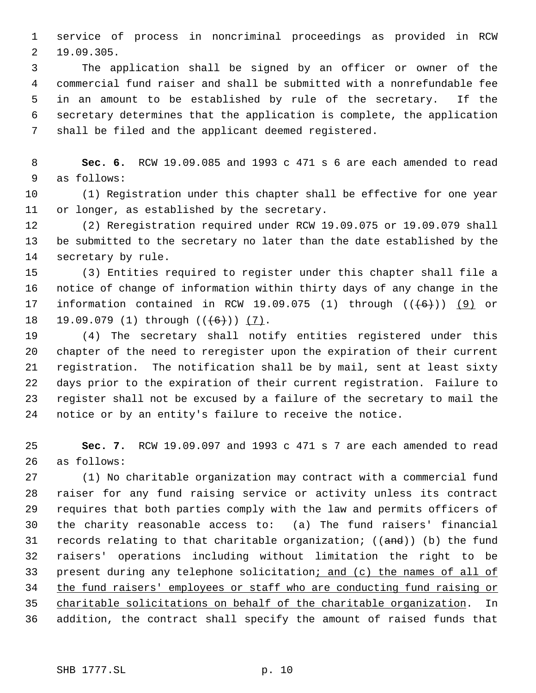service of process in noncriminal proceedings as provided in RCW 19.09.305.

 The application shall be signed by an officer or owner of the commercial fund raiser and shall be submitted with a nonrefundable fee in an amount to be established by rule of the secretary. If the secretary determines that the application is complete, the application shall be filed and the applicant deemed registered.

 **Sec. 6.** RCW 19.09.085 and 1993 c 471 s 6 are each amended to read as follows:

 (1) Registration under this chapter shall be effective for one year or longer, as established by the secretary.

 (2) Reregistration required under RCW 19.09.075 or 19.09.079 shall be submitted to the secretary no later than the date established by the secretary by rule.

 (3) Entities required to register under this chapter shall file a notice of change of information within thirty days of any change in the 17 information contained in RCW 19.09.075 (1) through  $((+6))$  (9) or 18 19.09.079 (1) through (( $(6+)$ ) (7).

 (4) The secretary shall notify entities registered under this chapter of the need to reregister upon the expiration of their current registration. The notification shall be by mail, sent at least sixty days prior to the expiration of their current registration. Failure to register shall not be excused by a failure of the secretary to mail the notice or by an entity's failure to receive the notice.

 **Sec. 7.** RCW 19.09.097 and 1993 c 471 s 7 are each amended to read as follows:

 (1) No charitable organization may contract with a commercial fund raiser for any fund raising service or activity unless its contract requires that both parties comply with the law and permits officers of the charity reasonable access to: (a) The fund raisers' financial 31 records relating to that charitable organization; ((and)) (b) the fund raisers' operations including without limitation the right to be 33 present during any telephone solicitation; and (c) the names of all of the fund raisers' employees or staff who are conducting fund raising or charitable solicitations on behalf of the charitable organization. In addition, the contract shall specify the amount of raised funds that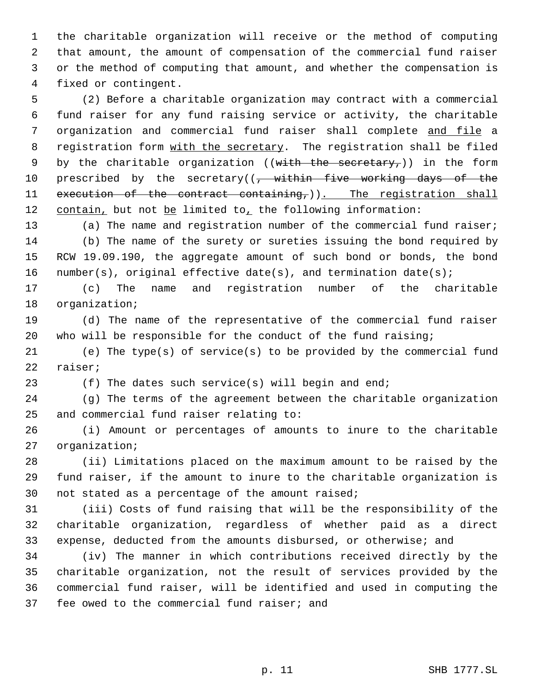the charitable organization will receive or the method of computing that amount, the amount of compensation of the commercial fund raiser or the method of computing that amount, and whether the compensation is fixed or contingent.

 (2) Before a charitable organization may contract with a commercial fund raiser for any fund raising service or activity, the charitable organization and commercial fund raiser shall complete and file a 8 registration form with the secretary. The registration shall be filed 9 by the charitable organization ((with the secretary,)) in the form 10 prescribed by the secretary((, within five working days of the 11 execution of the contract containing, )). The registration shall 12 contain, but not be limited to, the following information:

 (a) The name and registration number of the commercial fund raiser; (b) The name of the surety or sureties issuing the bond required by RCW 19.09.190, the aggregate amount of such bond or bonds, the bond 16 number(s), original effective date(s), and termination date(s);

 (c) The name and registration number of the charitable organization;

 (d) The name of the representative of the commercial fund raiser who will be responsible for the conduct of the fund raising;

 (e) The type(s) of service(s) to be provided by the commercial fund raiser;

(f) The dates such service(s) will begin and end;

 (g) The terms of the agreement between the charitable organization and commercial fund raiser relating to:

 (i) Amount or percentages of amounts to inure to the charitable organization;

 (ii) Limitations placed on the maximum amount to be raised by the fund raiser, if the amount to inure to the charitable organization is not stated as a percentage of the amount raised;

 (iii) Costs of fund raising that will be the responsibility of the charitable organization, regardless of whether paid as a direct expense, deducted from the amounts disbursed, or otherwise; and

 (iv) The manner in which contributions received directly by the charitable organization, not the result of services provided by the commercial fund raiser, will be identified and used in computing the fee owed to the commercial fund raiser; and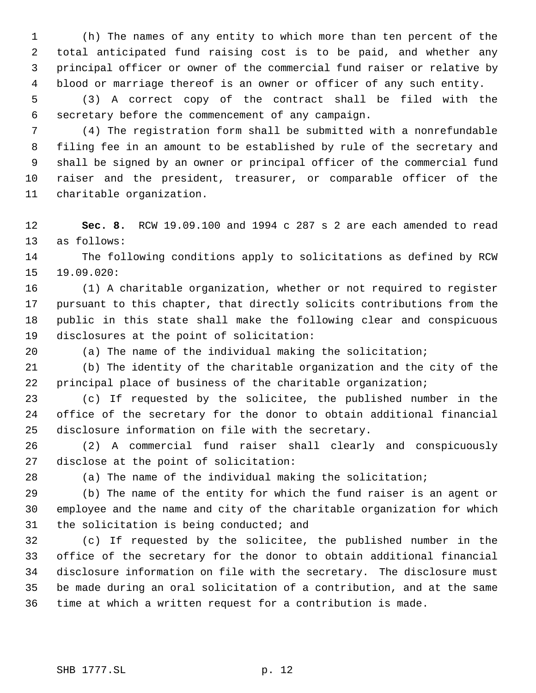(h) The names of any entity to which more than ten percent of the total anticipated fund raising cost is to be paid, and whether any principal officer or owner of the commercial fund raiser or relative by blood or marriage thereof is an owner or officer of any such entity.

 (3) A correct copy of the contract shall be filed with the secretary before the commencement of any campaign.

 (4) The registration form shall be submitted with a nonrefundable filing fee in an amount to be established by rule of the secretary and shall be signed by an owner or principal officer of the commercial fund raiser and the president, treasurer, or comparable officer of the charitable organization.

 **Sec. 8.** RCW 19.09.100 and 1994 c 287 s 2 are each amended to read as follows:

 The following conditions apply to solicitations as defined by RCW 19.09.020:

 (1) A charitable organization, whether or not required to register pursuant to this chapter, that directly solicits contributions from the public in this state shall make the following clear and conspicuous disclosures at the point of solicitation:

(a) The name of the individual making the solicitation;

 (b) The identity of the charitable organization and the city of the principal place of business of the charitable organization;

 (c) If requested by the solicitee, the published number in the office of the secretary for the donor to obtain additional financial disclosure information on file with the secretary.

 (2) A commercial fund raiser shall clearly and conspicuously disclose at the point of solicitation:

(a) The name of the individual making the solicitation;

 (b) The name of the entity for which the fund raiser is an agent or employee and the name and city of the charitable organization for which the solicitation is being conducted; and

 (c) If requested by the solicitee, the published number in the office of the secretary for the donor to obtain additional financial disclosure information on file with the secretary. The disclosure must be made during an oral solicitation of a contribution, and at the same time at which a written request for a contribution is made.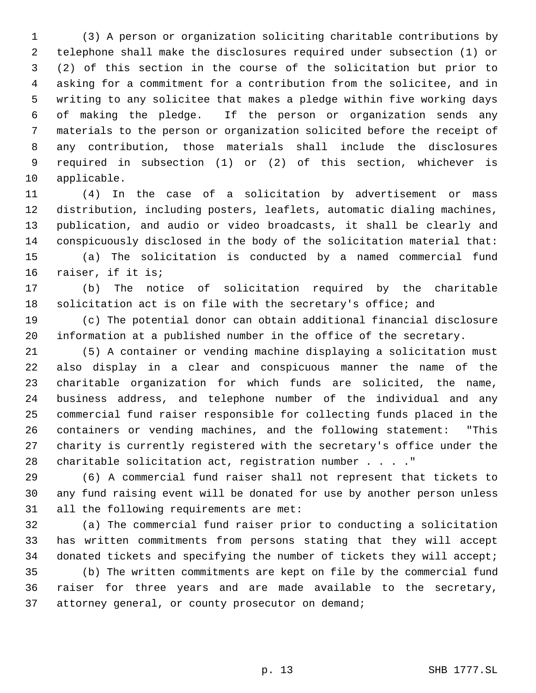(3) A person or organization soliciting charitable contributions by telephone shall make the disclosures required under subsection (1) or (2) of this section in the course of the solicitation but prior to asking for a commitment for a contribution from the solicitee, and in writing to any solicitee that makes a pledge within five working days of making the pledge. If the person or organization sends any materials to the person or organization solicited before the receipt of any contribution, those materials shall include the disclosures required in subsection (1) or (2) of this section, whichever is applicable.

 (4) In the case of a solicitation by advertisement or mass distribution, including posters, leaflets, automatic dialing machines, publication, and audio or video broadcasts, it shall be clearly and conspicuously disclosed in the body of the solicitation material that: (a) The solicitation is conducted by a named commercial fund raiser, if it is;

 (b) The notice of solicitation required by the charitable solicitation act is on file with the secretary's office; and

 (c) The potential donor can obtain additional financial disclosure information at a published number in the office of the secretary.

 (5) A container or vending machine displaying a solicitation must also display in a clear and conspicuous manner the name of the charitable organization for which funds are solicited, the name, business address, and telephone number of the individual and any commercial fund raiser responsible for collecting funds placed in the containers or vending machines, and the following statement: "This charity is currently registered with the secretary's office under the charitable solicitation act, registration number . . . ."

 (6) A commercial fund raiser shall not represent that tickets to any fund raising event will be donated for use by another person unless all the following requirements are met:

 (a) The commercial fund raiser prior to conducting a solicitation has written commitments from persons stating that they will accept 34 donated tickets and specifying the number of tickets they will accept; (b) The written commitments are kept on file by the commercial fund raiser for three years and are made available to the secretary,

attorney general, or county prosecutor on demand;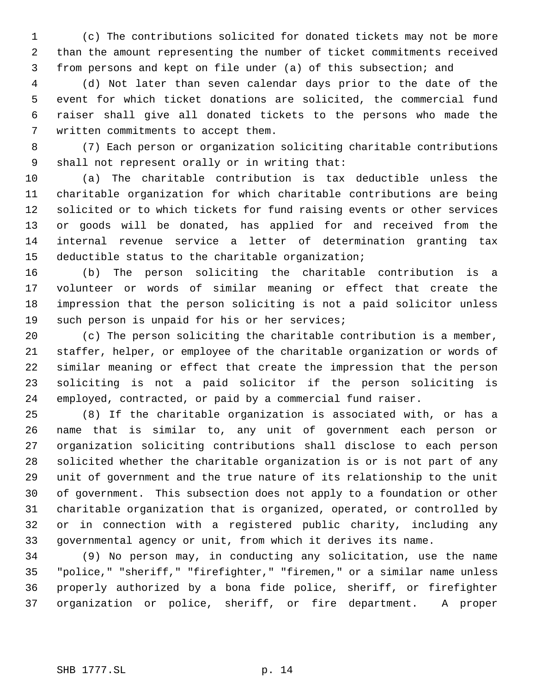(c) The contributions solicited for donated tickets may not be more than the amount representing the number of ticket commitments received from persons and kept on file under (a) of this subsection; and

 (d) Not later than seven calendar days prior to the date of the event for which ticket donations are solicited, the commercial fund raiser shall give all donated tickets to the persons who made the written commitments to accept them.

 (7) Each person or organization soliciting charitable contributions shall not represent orally or in writing that:

 (a) The charitable contribution is tax deductible unless the charitable organization for which charitable contributions are being solicited or to which tickets for fund raising events or other services or goods will be donated, has applied for and received from the internal revenue service a letter of determination granting tax deductible status to the charitable organization;

 (b) The person soliciting the charitable contribution is a volunteer or words of similar meaning or effect that create the impression that the person soliciting is not a paid solicitor unless such person is unpaid for his or her services;

 (c) The person soliciting the charitable contribution is a member, staffer, helper, or employee of the charitable organization or words of similar meaning or effect that create the impression that the person soliciting is not a paid solicitor if the person soliciting is employed, contracted, or paid by a commercial fund raiser.

 (8) If the charitable organization is associated with, or has a name that is similar to, any unit of government each person or organization soliciting contributions shall disclose to each person solicited whether the charitable organization is or is not part of any unit of government and the true nature of its relationship to the unit of government. This subsection does not apply to a foundation or other charitable organization that is organized, operated, or controlled by or in connection with a registered public charity, including any governmental agency or unit, from which it derives its name.

 (9) No person may, in conducting any solicitation, use the name "police," "sheriff," "firefighter," "firemen," or a similar name unless properly authorized by a bona fide police, sheriff, or firefighter organization or police, sheriff, or fire department. A proper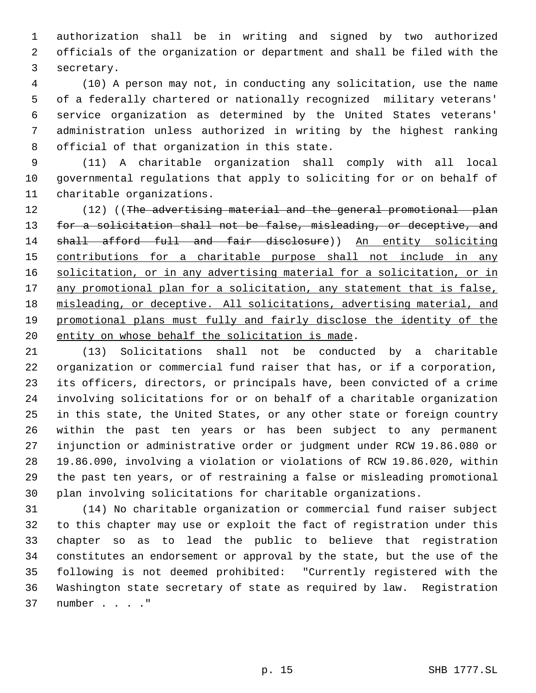authorization shall be in writing and signed by two authorized officials of the organization or department and shall be filed with the secretary.

 (10) A person may not, in conducting any solicitation, use the name of a federally chartered or nationally recognized military veterans' service organization as determined by the United States veterans' administration unless authorized in writing by the highest ranking official of that organization in this state.

 (11) A charitable organization shall comply with all local governmental regulations that apply to soliciting for or on behalf of charitable organizations.

12 (12) ((The advertising material and the general promotional plan 13 for a solicitation shall not be false, misleading, or deceptive, and 14 shall afford full and fair disclosure)) An entity soliciting 15 contributions for a charitable purpose shall not include in any 16 solicitation, or in any advertising material for a solicitation, or in 17 any promotional plan for a solicitation, any statement that is false, misleading, or deceptive. All solicitations, advertising material, and promotional plans must fully and fairly disclose the identity of the entity on whose behalf the solicitation is made.

 (13) Solicitations shall not be conducted by a charitable organization or commercial fund raiser that has, or if a corporation, its officers, directors, or principals have, been convicted of a crime involving solicitations for or on behalf of a charitable organization in this state, the United States, or any other state or foreign country within the past ten years or has been subject to any permanent injunction or administrative order or judgment under RCW 19.86.080 or 19.86.090, involving a violation or violations of RCW 19.86.020, within the past ten years, or of restraining a false or misleading promotional plan involving solicitations for charitable organizations.

 (14) No charitable organization or commercial fund raiser subject to this chapter may use or exploit the fact of registration under this chapter so as to lead the public to believe that registration constitutes an endorsement or approval by the state, but the use of the following is not deemed prohibited: "Currently registered with the Washington state secretary of state as required by law. Registration number . . . ."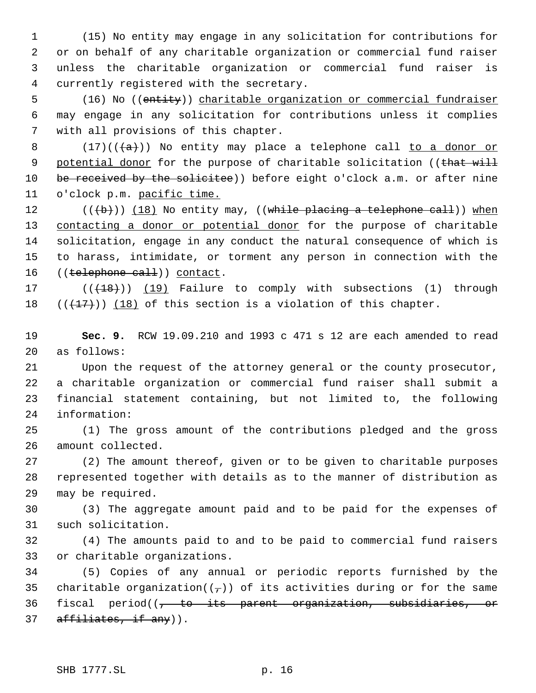(15) No entity may engage in any solicitation for contributions for or on behalf of any charitable organization or commercial fund raiser unless the charitable organization or commercial fund raiser is currently registered with the secretary.

 (16) No ((entity)) charitable organization or commercial fundraiser may engage in any solicitation for contributions unless it complies with all provisions of this chapter.

8 (17)( $(\frac{1}{a})$ ) No entity may place a telephone call to a donor or 9 potential donor for the purpose of charitable solicitation ((that will 10 be received by the solicitee)) before eight o'clock a.m. or after nine 11 o'clock p.m. pacific time.

12  $((+b))$   $(18)$  No entity may, ((while placing a telephone call)) when 13 contacting a donor or potential donor for the purpose of charitable solicitation, engage in any conduct the natural consequence of which is to harass, intimidate, or torment any person in connection with the 16 ((telephone call)) contact.

17 (((18))) (19) Failure to comply with subsections (1) through 18  $((+17))$  (18) of this section is a violation of this chapter.

 **Sec. 9.** RCW 19.09.210 and 1993 c 471 s 12 are each amended to read as follows:

 Upon the request of the attorney general or the county prosecutor, a charitable organization or commercial fund raiser shall submit a financial statement containing, but not limited to, the following information:

 (1) The gross amount of the contributions pledged and the gross amount collected.

 (2) The amount thereof, given or to be given to charitable purposes represented together with details as to the manner of distribution as may be required.

 (3) The aggregate amount paid and to be paid for the expenses of such solicitation.

 (4) The amounts paid to and to be paid to commercial fund raisers or charitable organizations.

 (5) Copies of any annual or periodic reports furnished by the 35 charitable organization( $(\tau)$ ) of its activities during or for the same 36 fiscal period((<del>, to its parent organization, subsidiaries, or</del> 37 affiliates, if any)).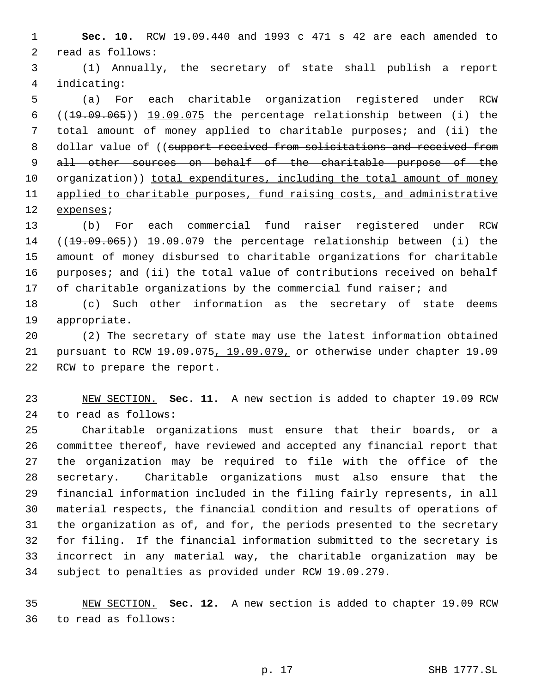**Sec. 10.** RCW 19.09.440 and 1993 c 471 s 42 are each amended to read as follows:

 (1) Annually, the secretary of state shall publish a report indicating:

 (a) For each charitable organization registered under RCW 6  $((19.09.065))$   $19.09.075$  the percentage relationship between (i) the total amount of money applied to charitable purposes; and (ii) the 8 dollar value of ((support received from solicitations and received from 9 all other sources on behalf of the charitable purpose of the 10 organization)) total expenditures, including the total amount of money 11 applied to charitable purposes, fund raising costs, and administrative expenses;

 (b) For each commercial fund raiser registered under RCW 14 ((19.09.065)) 19.09.079 the percentage relationship between (i) the amount of money disbursed to charitable organizations for charitable 16 purposes; and (ii) the total value of contributions received on behalf 17 of charitable organizations by the commercial fund raiser; and

 (c) Such other information as the secretary of state deems appropriate.

 (2) The secretary of state may use the latest information obtained pursuant to RCW 19.09.075, 19.09.079, or otherwise under chapter 19.09 RCW to prepare the report.

 NEW SECTION. **Sec. 11.** A new section is added to chapter 19.09 RCW to read as follows:

 Charitable organizations must ensure that their boards, or a committee thereof, have reviewed and accepted any financial report that the organization may be required to file with the office of the secretary. Charitable organizations must also ensure that the financial information included in the filing fairly represents, in all material respects, the financial condition and results of operations of the organization as of, and for, the periods presented to the secretary for filing. If the financial information submitted to the secretary is incorrect in any material way, the charitable organization may be subject to penalties as provided under RCW 19.09.279.

 NEW SECTION. **Sec. 12.** A new section is added to chapter 19.09 RCW to read as follows: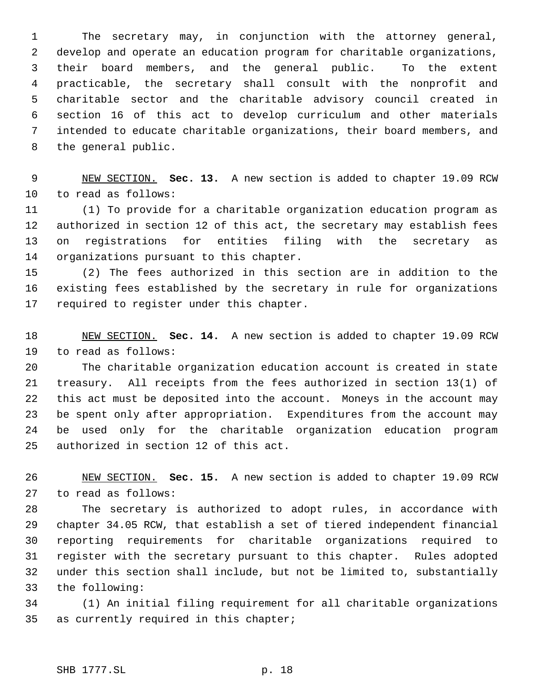The secretary may, in conjunction with the attorney general, develop and operate an education program for charitable organizations, their board members, and the general public. To the extent practicable, the secretary shall consult with the nonprofit and charitable sector and the charitable advisory council created in section 16 of this act to develop curriculum and other materials intended to educate charitable organizations, their board members, and the general public.

 NEW SECTION. **Sec. 13.** A new section is added to chapter 19.09 RCW to read as follows:

 (1) To provide for a charitable organization education program as authorized in section 12 of this act, the secretary may establish fees on registrations for entities filing with the secretary as organizations pursuant to this chapter.

 (2) The fees authorized in this section are in addition to the existing fees established by the secretary in rule for organizations required to register under this chapter.

 NEW SECTION. **Sec. 14.** A new section is added to chapter 19.09 RCW to read as follows:

 The charitable organization education account is created in state treasury. All receipts from the fees authorized in section 13(1) of this act must be deposited into the account. Moneys in the account may be spent only after appropriation. Expenditures from the account may be used only for the charitable organization education program authorized in section 12 of this act.

 NEW SECTION. **Sec. 15.** A new section is added to chapter 19.09 RCW to read as follows:

 The secretary is authorized to adopt rules, in accordance with chapter 34.05 RCW, that establish a set of tiered independent financial reporting requirements for charitable organizations required to register with the secretary pursuant to this chapter. Rules adopted under this section shall include, but not be limited to, substantially the following:

 (1) An initial filing requirement for all charitable organizations as currently required in this chapter;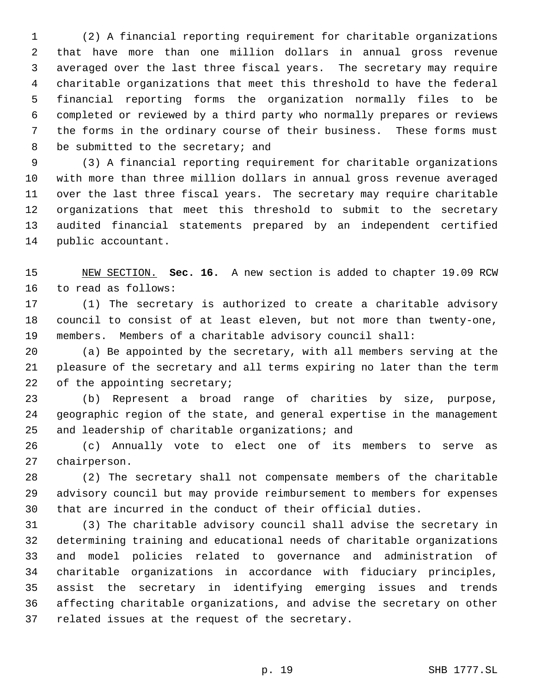(2) A financial reporting requirement for charitable organizations that have more than one million dollars in annual gross revenue averaged over the last three fiscal years. The secretary may require charitable organizations that meet this threshold to have the federal financial reporting forms the organization normally files to be completed or reviewed by a third party who normally prepares or reviews the forms in the ordinary course of their business. These forms must 8 be submitted to the secretary; and

 (3) A financial reporting requirement for charitable organizations with more than three million dollars in annual gross revenue averaged over the last three fiscal years. The secretary may require charitable organizations that meet this threshold to submit to the secretary audited financial statements prepared by an independent certified public accountant.

 NEW SECTION. **Sec. 16.** A new section is added to chapter 19.09 RCW to read as follows:

 (1) The secretary is authorized to create a charitable advisory council to consist of at least eleven, but not more than twenty-one, members. Members of a charitable advisory council shall:

 (a) Be appointed by the secretary, with all members serving at the pleasure of the secretary and all terms expiring no later than the term 22 of the appointing secretary;

 (b) Represent a broad range of charities by size, purpose, geographic region of the state, and general expertise in the management and leadership of charitable organizations; and

 (c) Annually vote to elect one of its members to serve as chairperson.

 (2) The secretary shall not compensate members of the charitable advisory council but may provide reimbursement to members for expenses that are incurred in the conduct of their official duties.

 (3) The charitable advisory council shall advise the secretary in determining training and educational needs of charitable organizations and model policies related to governance and administration of charitable organizations in accordance with fiduciary principles, assist the secretary in identifying emerging issues and trends affecting charitable organizations, and advise the secretary on other related issues at the request of the secretary.